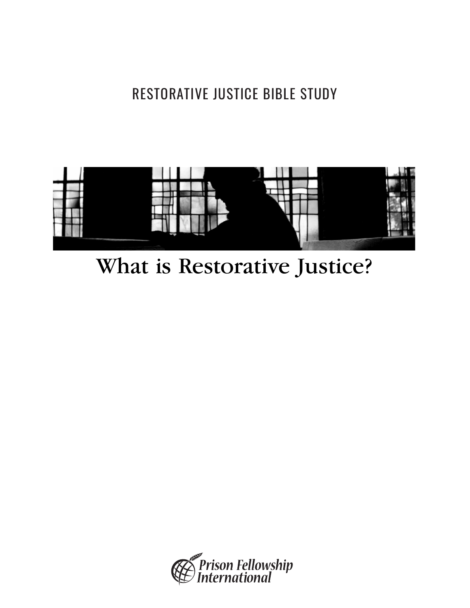# RESTORATIVE JUSTICE BIBLE STUDY



# What is Restorative Justice?

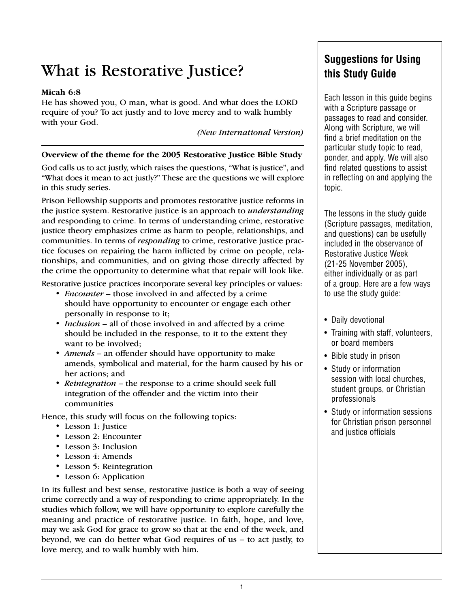# What is Restorative Justice?

### **Micah 6:8**

He has showed you, O man, what is good. And what does the LORD require of you? To act justly and to love mercy and to walk humbly with your God.

*(New International Version)*

### **Overview of the theme for the 2005 Restorative Justice Bible Study**

God calls us to act justly, which raises the questions, "What is justice", and "What does it mean to act justly?" These are the questions we will explore in this study series.

Prison Fellowship supports and promotes restorative justice reforms in the justice system. Restorative justice is an approach to *understanding* and responding to crime. In terms of understanding crime, restorative justice theory emphasizes crime as harm to people, relationships, and communities. In terms of *responding* to crime, restorative justice practice focuses on repairing the harm inflicted by crime on people, relationships, and communities, and on giving those directly affected by the crime the opportunity to determine what that repair will look like.

Restorative justice practices incorporate several key principles or values:

- *Encounter* those involved in and affected by a crime should have opportunity to encounter or engage each other personally in response to it;
- *Inclusion* all of those involved in and affected by a crime should be included in the response, to it to the extent they want to be involved:
- *Amends* an offender should have opportunity to make amends, symbolical and material, for the harm caused by his or her actions; and
- *Reintegration* the response to a crime should seek full integration of the offender and the victim into their communities

Hence, this study will focus on the following topics:

- Lesson 1: Justice
- Lesson 2: Encounter
- Lesson 3: Inclusion
- Lesson 4: Amends
- Lesson 5: Reintegration
- Lesson 6: Application

In its fullest and best sense, restorative justice is both a way of seeing crime correctly and a way of responding to crime appropriately. In the studies which follow, we will have opportunity to explore carefully the meaning and practice of restorative justice. In faith, hope, and love, may we ask God for grace to grow so that at the end of the week, and beyond, we can do better what God requires of us – to act justly, to love mercy, and to walk humbly with him.

### **Suggestions for Using this Study Guide**

Each lesson in this guide begins with a Scripture passage or passages to read and consider. Along with Scripture, we will find a brief meditation on the particular study topic to read, ponder, and apply. We will also find related questions to assist in reflecting on and applying the topic.

The lessons in the study guide (Scripture passages, meditation, and questions) can be usefully included in the observance of Restorative Justice Week (21-25 November 2005), either individually or as part of a group. Here are a few ways to use the study guide:

- Daily devotional
- Training with staff, volunteers, or board members
- Bible study in prison
- Study or information session with local churches, student groups, or Christian professionals
- Study or information sessions for Christian prison personnel and justice officials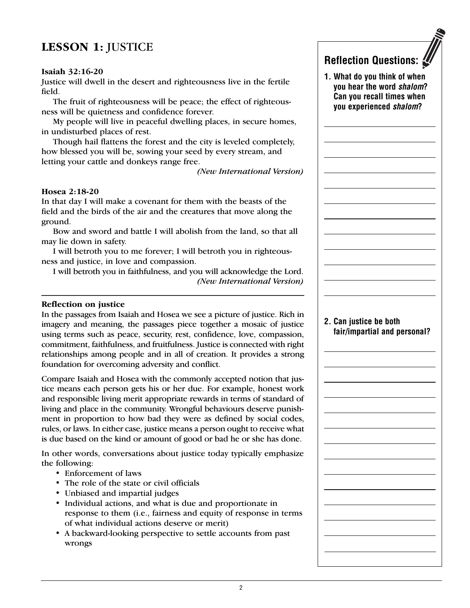### **LESSON 1:** JUSTICE

#### **Isaiah 32:16-20**

Justice will dwell in the desert and righteousness live in the fertile field.

The fruit of righteousness will be peace; the effect of righteousness will be quietness and confidence forever.

My people will live in peaceful dwelling places, in secure homes, in undisturbed places of rest.

Though hail flattens the forest and the city is leveled completely, how blessed you will be, sowing your seed by every stream, and letting your cattle and donkeys range free.

*(New International Version)*

#### **Hosea 2:18-20**

In that day I will make a covenant for them with the beasts of the field and the birds of the air and the creatures that move along the ground.

Bow and sword and battle I will abolish from the land, so that all may lie down in safety.

I will betroth you to me forever; I will betroth you in righteousness and justice, in love and compassion.

I will betroth you in faithfulness, and you will acknowledge the Lord. *(New International Version)*

#### **Reflection on justice**

In the passages from Isaiah and Hosea we see a picture of justice. Rich in imagery and meaning, the passages piece together a mosaic of justice using terms such as peace, security, rest, confidence, love, compassion, commitment, faithfulness, and fruitfulness. Justice is connected with right relationships among people and in all of creation. It provides a strong foundation for overcoming adversity and conflict.

Compare Isaiah and Hosea with the commonly accepted notion that justice means each person gets his or her due. For example, honest work and responsible living merit appropriate rewards in terms of standard of living and place in the community. Wrongful behaviours deserve punishment in proportion to how bad they were as defined by social codes, rules, or laws. In either case, justice means a person ought to receive what is due based on the kind or amount of good or bad he or she has done.

In other words, conversations about justice today typically emphasize the following:

- Enforcement of laws
- The role of the state or civil officials
- Unbiased and impartial judges
- Individual actions, and what is due and proportionate in response to them (i.e., fairness and equity of response in terms of what individual actions deserve or merit)
- A backward-looking perspective to settle accounts from past wrongs

### **Reflection Questions:**

**1. What do you think of when you hear the word shalom? Can you recall times when you experienced shalom?**

### **2. Can justice be both fair/impartial and personal?**

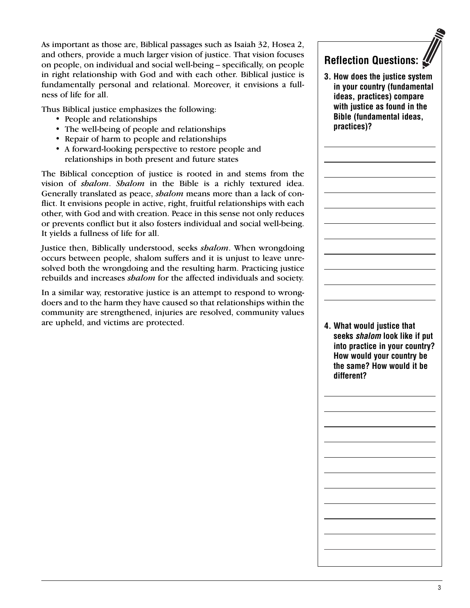As important as those are, Biblical passages such as Isaiah 32, Hosea 2, and others, provide a much larger vision of justice. That vision focuses on people, on individual and social well-being – specifically, on people in right relationship with God and with each other. Biblical justice is fundamentally personal and relational. Moreover, it envisions a fullness of life for all.

Thus Biblical justice emphasizes the following:

- People and relationships
- The well-being of people and relationships
- Repair of harm to people and relationships
- A forward-looking perspective to restore people and relationships in both present and future states

The Biblical conception of justice is rooted in and stems from the vision of *shalom*. *Shalom* in the Bible is a richly textured idea. Generally translated as peace, *shalom* means more than a lack of conflict. It envisions people in active, right, fruitful relationships with each other, with God and with creation. Peace in this sense not only reduces or prevents conflict but it also fosters individual and social well-being. It yields a fullness of life for all.

Justice then, Biblically understood, seeks *shalom*. When wrongdoing occurs between people, shalom suffers and it is unjust to leave unresolved both the wrongdoing and the resulting harm. Practicing justice rebuilds and increases *shalom* for the affected individuals and society.

In a similar way, restorative justice is an attempt to respond to wrongdoers and to the harm they have caused so that relationships within the community are strengthened, injuries are resolved, community values are upheld, and victims are protected.



**3. How does the justice system in your country (fundamental ideas, practices) compare with justice as found in the Bible (fundamental ideas, practices)?**

**4. What would justice that seeks shalom look like if put into practice in your country? How would your country be the same? How would it be different?**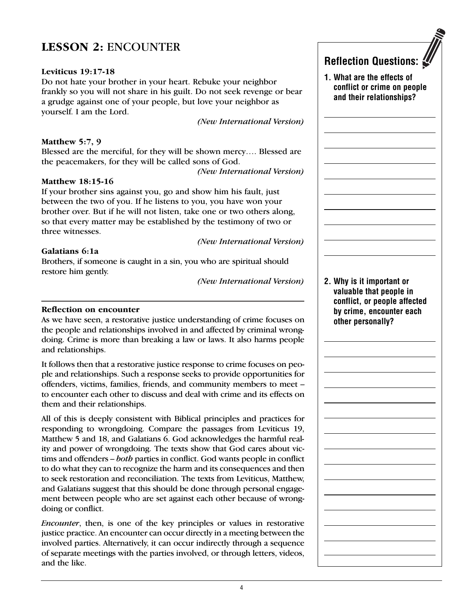### **LESSON 2:** ENCOUNTER

### **Leviticus 19:17-18**

Do not hate your brother in your heart. Rebuke your neighbor frankly so you will not share in his guilt. Do not seek revenge or bear a grudge against one of your people, but love your neighbor as yourself. I am the Lord.

*(New International Version)*

### **Matthew 5:7, 9**

Blessed are the merciful, for they will be shown mercy…. Blessed are the peacemakers, for they will be called sons of God.

*(New International Version)*

### **Matthew 18:15-16**

If your brother sins against you, go and show him his fault, just between the two of you. If he listens to you, you have won your brother over. But if he will not listen, take one or two others along, so that every matter may be established by the testimony of two or three witnesses.

*(New International Version)*

#### **Galatians 6:1a**

Brothers, if someone is caught in a sin, you who are spiritual should restore him gently.

*(New International Version)*

#### **Reflection on encounter**

As we have seen, a restorative justice understanding of crime focuses on the people and relationships involved in and affected by criminal wrongdoing. Crime is more than breaking a law or laws. It also harms people and relationships.

It follows then that a restorative justice response to crime focuses on people and relationships. Such a response seeks to provide opportunities for offenders, victims, families, friends, and community members to meet – to encounter each other to discuss and deal with crime and its effects on them and their relationships.

All of this is deeply consistent with Biblical principles and practices for responding to wrongdoing. Compare the passages from Leviticus 19, Matthew 5 and 18, and Galatians 6. God acknowledges the harmful reality and power of wrongdoing. The texts show that God cares about victims and offenders – *both* parties in conflict. God wants people in conflict to do what they can to recognize the harm and its consequences and then to seek restoration and reconciliation. The texts from Leviticus, Matthew, and Galatians suggest that this should be done through personal engagement between people who are set against each other because of wrongdoing or conflict.

*Encounter*, then, is one of the key principles or values in restorative justice practice. An encounter can occur directly in a meeting between the involved parties. Alternatively, it can occur indirectly through a sequence of separate meetings with the parties involved, or through letters, videos, and the like.

### **Reflection Questions:**

**1. What are the effects of conflict or crime on people and their relationships?**

**2. Why is it important or valuable that people in conflict, or people affected by crime, encounter each other personally?**

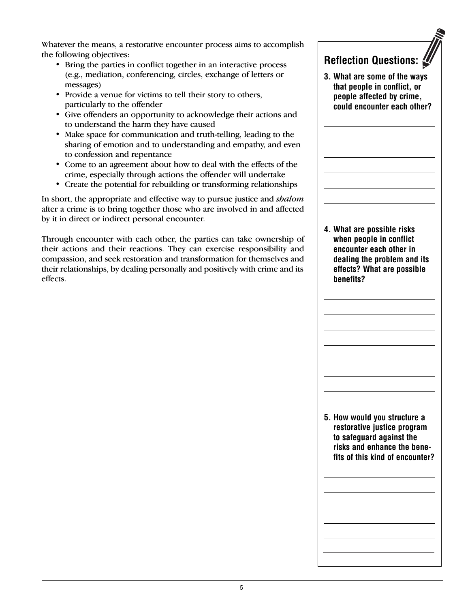Whatever the means, a restorative encounter process aims to accomplish the following objectives:

- Bring the parties in conflict together in an interactive process (e.g., mediation, conferencing, circles, exchange of letters or messages)
- Provide a venue for victims to tell their story to others, particularly to the offender
- Give offenders an opportunity to acknowledge their actions and to understand the harm they have caused
- Make space for communication and truth-telling, leading to the sharing of emotion and to understanding and empathy, and even to confession and repentance
- Come to an agreement about how to deal with the effects of the crime, especially through actions the offender will undertake
- Create the potential for rebuilding or transforming relationships

In short, the appropriate and effective way to pursue justice and *shalom* after a crime is to bring together those who are involved in and affected by it in direct or indirect personal encounter.

Through encounter with each other, the parties can take ownership of their actions and their reactions. They can exercise responsibility and compassion, and seek restoration and transformation for themselves and their relationships, by dealing personally and positively with crime and its effects.

### **Reflection Questions:**

**3. What are some of the ways that people in conflict, or people affected by crime, could encounter each other?**

**4. What are possible risks when people in conflict encounter each other in dealing the problem and its effects? What are possible benefits?**

**5. How would you structure a restorative justice program to safeguard against the risks and enhance the benefits of this kind of encounter?**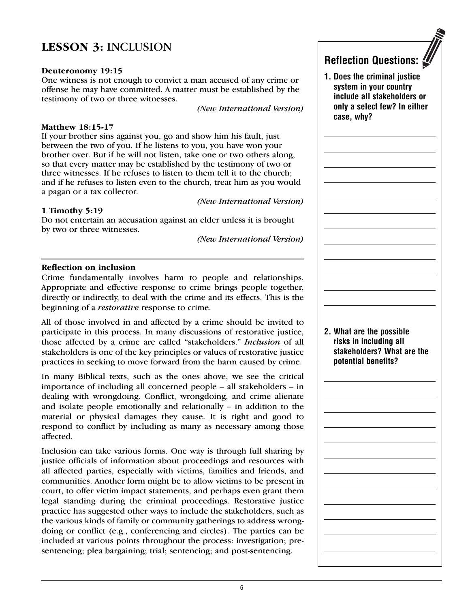### **LESSON 3:** INCLUSION

#### **Deuteronomy 19:15**

One witness is not enough to convict a man accused of any crime or offense he may have committed. A matter must be established by the testimony of two or three witnesses.

*(New International Version)*

#### **Matthew 18:15-17**

If your brother sins against you, go and show him his fault, just between the two of you. If he listens to you, you have won your brother over. But if he will not listen, take one or two others along, so that every matter may be established by the testimony of two or three witnesses. If he refuses to listen to them tell it to the church; and if he refuses to listen even to the church, treat him as you would a pagan or a tax collector.

*(New International Version)*

#### **1 Timothy 5:19** Do not entertain an accusation against an elder unless it is brought by two or three witnesses.

*(New International Version)*

#### **Reflection on inclusion**

Crime fundamentally involves harm to people and relationships. Appropriate and effective response to crime brings people together, directly or indirectly, to deal with the crime and its effects. This is the beginning of a *restorative* response to crime.

All of those involved in and affected by a crime should be invited to participate in this process. In many discussions of restorative justice, those affected by a crime are called "stakeholders." *Inclusion* of all stakeholders is one of the key principles or values of restorative justice practices in seeking to move forward from the harm caused by crime.

In many Biblical texts, such as the ones above, we see the critical importance of including all concerned people – all stakeholders – in dealing with wrongdoing. Conflict, wrongdoing, and crime alienate and isolate people emotionally and relationally – in addition to the material or physical damages they cause. It is right and good to respond to conflict by including as many as necessary among those affected.

Inclusion can take various forms. One way is through full sharing by justice officials of information about proceedings and resources with all affected parties, especially with victims, families and friends, and communities. Another form might be to allow victims to be present in court, to offer victim impact statements, and perhaps even grant them legal standing during the criminal proceedings. Restorative justice practice has suggested other ways to include the stakeholders, such as the various kinds of family or community gatherings to address wrongdoing or conflict (e.g., conferencing and circles). The parties can be included at various points throughout the process: investigation; presentencing; plea bargaining; trial; sentencing; and post-sentencing.

### **Reflection Questions:**

**1. Does the criminal justice system in your country include all stakeholders or only a select few? In either case, why?**

**2. What are the possible risks in including all stakeholders? What are the potential benefits?**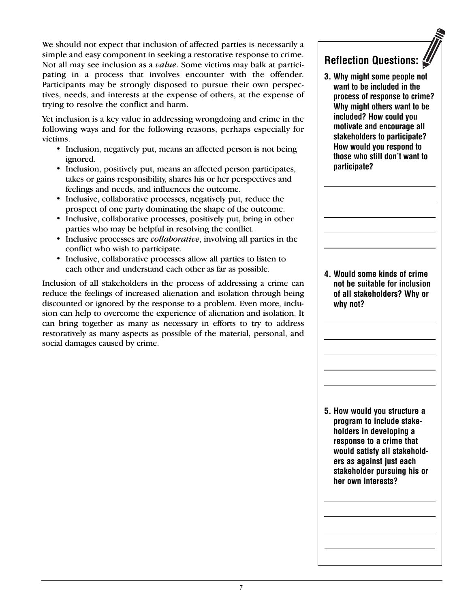We should not expect that inclusion of affected parties is necessarily a simple and easy component in seeking a restorative response to crime. Not all may see inclusion as a *value*. Some victims may balk at participating in a process that involves encounter with the offender. Participants may be strongly disposed to pursue their own perspectives, needs, and interests at the expense of others, at the expense of trying to resolve the conflict and harm.

Yet inclusion is a key value in addressing wrongdoing and crime in the following ways and for the following reasons, perhaps especially for victims.

- Inclusion, negatively put, means an affected person is not being ignored.
- Inclusion, positively put, means an affected person participates, takes or gains responsibility, shares his or her perspectives and feelings and needs, and influences the outcome.
- Inclusive, collaborative processes, negatively put, reduce the prospect of one party dominating the shape of the outcome.
- Inclusive, collaborative processes, positively put, bring in other parties who may be helpful in resolving the conflict.
- Inclusive processes are *collaborative*, involving all parties in the conflict who wish to participate.
- Inclusive, collaborative processes allow all parties to listen to each other and understand each other as far as possible.

Inclusion of all stakeholders in the process of addressing a crime can reduce the feelings of increased alienation and isolation through being discounted or ignored by the response to a problem. Even more, inclusion can help to overcome the experience of alienation and isolation. It can bring together as many as necessary in efforts to try to address restoratively as many aspects as possible of the material, personal, and social damages caused by crime.

### **Reflection Questions:**

**3. Why might some people not want to be included in the process of response to crime? Why might others want to be included? How could you motivate and encourage all stakeholders to participate? How would you respond to those who still don't want to participate?**

**4. Would some kinds of crime not be suitable for inclusion of all stakeholders? Why or why not?**

**5. How would you structure a program to include stakeholders in developing a response to a crime that would satisfy all stakeholders as against just each stakeholder pursuing his or her own interests?**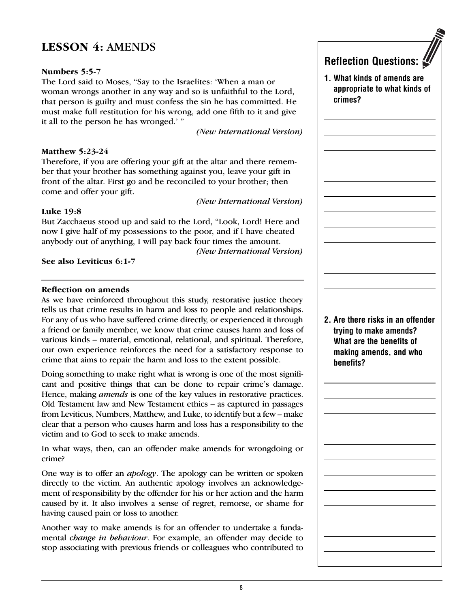### **LESSON 4:** AMENDS

### **Numbers 5:5-7**

The Lord said to Moses, "Say to the Israelites: 'When a man or woman wrongs another in any way and so is unfaithful to the Lord, that person is guilty and must confess the sin he has committed. He must make full restitution for his wrong, add one fifth to it and give it all to the person he has wronged.' "

*(New International Version)*

### **Matthew 5:23-24**

Therefore, if you are offering your gift at the altar and there remember that your brother has something against you, leave your gift in front of the altar. First go and be reconciled to your brother; then come and offer your gift.

*(New International Version)*

### **Luke 19:8**

But Zacchaeus stood up and said to the Lord, "Look, Lord! Here and now I give half of my possessions to the poor, and if I have cheated anybody out of anything, I will pay back four times the amount.

*(New International Version)*

**See also Leviticus 6:1-7**

### **Reflection on amends**

As we have reinforced throughout this study, restorative justice theory tells us that crime results in harm and loss to people and relationships. For any of us who have suffered crime directly, or experienced it through a friend or family member, we know that crime causes harm and loss of various kinds – material, emotional, relational, and spiritual. Therefore, our own experience reinforces the need for a satisfactory response to crime that aims to repair the harm and loss to the extent possible.

Doing something to make right what is wrong is one of the most significant and positive things that can be done to repair crime's damage. Hence, making *amends* is one of the key values in restorative practices. Old Testament law and New Testament ethics – as captured in passages from Leviticus, Numbers, Matthew, and Luke, to identify but a few – make clear that a person who causes harm and loss has a responsibility to the victim and to God to seek to make amends.

In what ways, then, can an offender make amends for wrongdoing or crime?

One way is to offer an *apology*. The apology can be written or spoken directly to the victim. An authentic apology involves an acknowledgement of responsibility by the offender for his or her action and the harm caused by it. It also involves a sense of regret, remorse, or shame for having caused pain or loss to another.

Another way to make amends is for an offender to undertake a fundamental *change in behaviour*. For example, an offender may decide to stop associating with previous friends or colleagues who contributed to

### **Reflection Questions:**

**1. What kinds of amends are appropriate to what kinds of crimes?**

**2. Are there risks in an offender trying to make amends? What are the benefits of making amends, and who benefits?**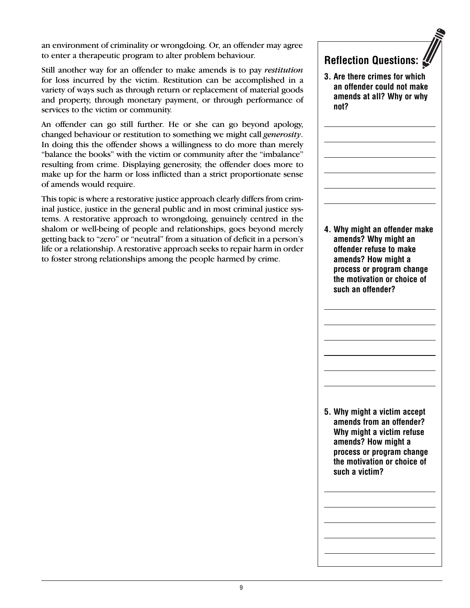an environment of criminality or wrongdoing. Or, an offender may agree to enter a therapeutic program to alter problem behaviour.

Still another way for an offender to make amends is to pay *restitution* for loss incurred by the victim. Restitution can be accomplished in a variety of ways such as through return or replacement of material goods and property, through monetary payment, or through performance of services to the victim or community.

An offender can go still further. He or she can go beyond apology, changed behaviour or restitution to something we might call *generosity*. In doing this the offender shows a willingness to do more than merely "balance the books" with the victim or community after the "imbalance" resulting from crime. Displaying generosity, the offender does more to make up for the harm or loss inflicted than a strict proportionate sense of amends would require.

This topic is where a restorative justice approach clearly differs from criminal justice, justice in the general public and in most criminal justice systems. A restorative approach to wrongdoing, genuinely centred in the shalom or well-being of people and relationships, goes beyond merely getting back to "zero" or "neutral" from a situation of deficit in a person's life or a relationship. A restorative approach seeks to repair harm in order to foster strong relationships among the people harmed by crime.

### **Reflection Questions:**

**3. Are there crimes for which an offender could not make amends at all? Why or why not?**

**4. Why might an offender make amends? Why might an offender refuse to make amends? How might a process or program change the motivation or choice of such an offender?**

**5. Why might a victim accept amends from an offender? Why might a victim refuse amends? How might a process or program change the motivation or choice of such a victim?**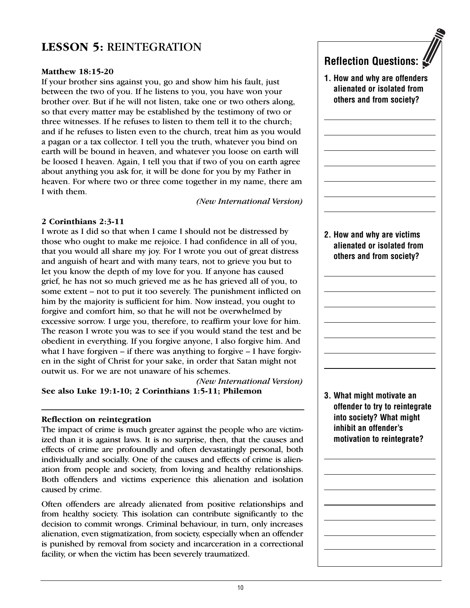### **LESSON 5:** REINTEGRATION

#### **Matthew 18:15-20**

If your brother sins against you, go and show him his fault, just between the two of you. If he listens to you, you have won your brother over. But if he will not listen, take one or two others along, so that every matter may be established by the testimony of two or three witnesses. If he refuses to listen to them tell it to the church; and if he refuses to listen even to the church, treat him as you would a pagan or a tax collector. I tell you the truth, whatever you bind on earth will be bound in heaven, and whatever you loose on earth will be loosed I heaven. Again, I tell you that if two of you on earth agree about anything you ask for, it will be done for you by my Father in heaven. For where two or three come together in my name, there am I with them.

*(New International Version)*

#### **2 Corinthians 2:3-11**

I wrote as I did so that when I came I should not be distressed by those who ought to make me rejoice. I had confidence in all of you, that you would all share my joy. For I wrote you out of great distress and anguish of heart and with many tears, not to grieve you but to let you know the depth of my love for you. If anyone has caused grief, he has not so much grieved me as he has grieved all of you, to some extent – not to put it too severely. The punishment inflicted on him by the majority is sufficient for him. Now instead, you ought to forgive and comfort him, so that he will not be overwhelmed by excessive sorrow. I urge you, therefore, to reaffirm your love for him. The reason I wrote you was to see if you would stand the test and be obedient in everything. If you forgive anyone, I also forgive him. And what I have forgiven – if there was anything to forgive – I have forgiven in the sight of Christ for your sake, in order that Satan might not outwit us. For we are not unaware of his schemes.

*(New International Version)* **See also Luke 19:1-10; 2 Corinthians 1:5-11; Philemon**

#### **Reflection on reintegration**

The impact of crime is much greater against the people who are victimized than it is against laws. It is no surprise, then, that the causes and effects of crime are profoundly and often devastatingly personal, both individually and socially. One of the causes and effects of crime is alienation from people and society, from loving and healthy relationships. Both offenders and victims experience this alienation and isolation caused by crime.

Often offenders are already alienated from positive relationships and from healthy society. This isolation can contribute significantly to the decision to commit wrongs. Criminal behaviour, in turn, only increases alienation, even stigmatization, from society, especially when an offender is punished by removal from society and incarceration in a correctional facility, or when the victim has been severely traumatized.

### **Reflection Questions:**

**1. How and why are offenders alienated or isolated from others and from society?**

**2. How and why are victims alienated or isolated from others and from society?**

**3. What might motivate an offender to try to reintegrate into society? What might inhibit an offender's motivation to reintegrate?**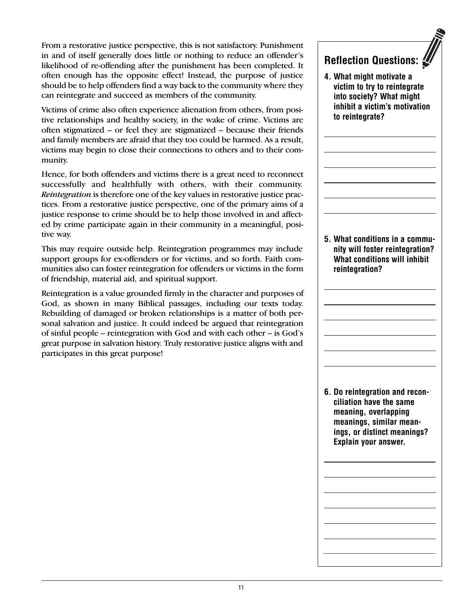From a restorative justice perspective, this is not satisfactory. Punishment in and of itself generally does little or nothing to reduce an offender's likelihood of re-offending after the punishment has been completed. It often enough has the opposite effect! Instead, the purpose of justice should be to help offenders find a way back to the community where they can reintegrate and succeed as members of the community.

Victims of crime also often experience alienation from others, from positive relationships and healthy society, in the wake of crime. Victims are often stigmatized – or feel they are stigmatized – because their friends and family members are afraid that they too could be harmed. As a result, victims may begin to close their connections to others and to their community.

Hence, for both offenders and victims there is a great need to reconnect successfully and healthfully with others, with their community. *Reintegration* is therefore one of the key values in restorative justice practices. From a restorative justice perspective, one of the primary aims of a justice response to crime should be to help those involved in and affected by crime participate again in their community in a meaningful, positive way.

This may require outside help. Reintegration programmes may include support groups for ex-offenders or for victims, and so forth. Faith communities also can foster reintegration for offenders or victims in the form of friendship, material aid, and spiritual support.

Reintegration is a value grounded firmly in the character and purposes of God, as shown in many Biblical passages, including our texts today. Rebuilding of damaged or broken relationships is a matter of both personal salvation and justice. It could indeed be argued that reintegration of sinful people – reintegration with God and with each other – is God's great purpose in salvation history. Truly restorative justice aligns with and participates in this great purpose!

### **Reflection Questions:**

**4. What might motivate a victim to try to reintegrate into society? What might inhibit a victim's motivation to reintegrate?**

**5. What conditions in a community will foster reintegration? What conditions will inhibit reintegration?**

**6. Do reintegration and reconciliation have the same meaning, overlapping meanings, similar meanings, or distinct meanings? Explain your answer.**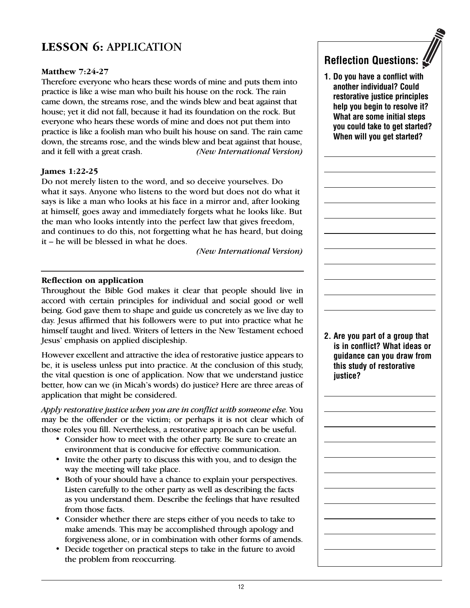### **LESSON 6:** APPLICATION

#### **Matthew 7:24-27**

Therefore everyone who hears these words of mine and puts them into practice is like a wise man who built his house on the rock. The rain came down, the streams rose, and the winds blew and beat against that house; yet it did not fall, because it had its foundation on the rock. But everyone who hears these words of mine and does not put them into practice is like a foolish man who built his house on sand. The rain came down, the streams rose, and the winds blew and beat against that house, and it fell with a great crash. *(New International Version)*

#### **James 1:22-25**

Do not merely listen to the word, and so deceive yourselves. Do what it says. Anyone who listens to the word but does not do what it says is like a man who looks at his face in a mirror and, after looking at himself, goes away and immediately forgets what he looks like. But the man who looks intently into the perfect law that gives freedom, and continues to do this, not forgetting what he has heard, but doing it – he will be blessed in what he does.

*(New International Version)*

### **Reflection on application**

Throughout the Bible God makes it clear that people should live in accord with certain principles for individual and social good or well being. God gave them to shape and guide us concretely as we live day to day. Jesus affirmed that his followers were to put into practice what he himself taught and lived. Writers of letters in the New Testament echoed Jesus' emphasis on applied discipleship.

However excellent and attractive the idea of restorative justice appears to be, it is useless unless put into practice. At the conclusion of this study, the vital question is one of application. Now that we understand justice better, how can we (in Micah's words) do justice? Here are three areas of application that might be considered.

*Apply restorative justice when you are in conflict with someone else.* You may be the offender or the victim; or perhaps it is not clear which of those roles you fill. Nevertheless, a restorative approach can be useful.

- Consider how to meet with the other party. Be sure to create an environment that is conducive for effective communication.
- Invite the other party to discuss this with you, and to design the way the meeting will take place.
- Both of your should have a chance to explain your perspectives. Listen carefully to the other party as well as describing the facts as you understand them. Describe the feelings that have resulted from those facts.
- Consider whether there are steps either of you needs to take to make amends. This may be accomplished through apology and forgiveness alone, or in combination with other forms of amends.
- Decide together on practical steps to take in the future to avoid the problem from reoccurring.

### **Reflection Questions:**

**1. Do you have a conflict with another individual? Could restorative justice principles help you begin to resolve it? What are some initial steps you could take to get started? When will you get started?**

**2. Are you part of a group that is in conflict? What ideas or guidance can you draw from this study of restorative justice?**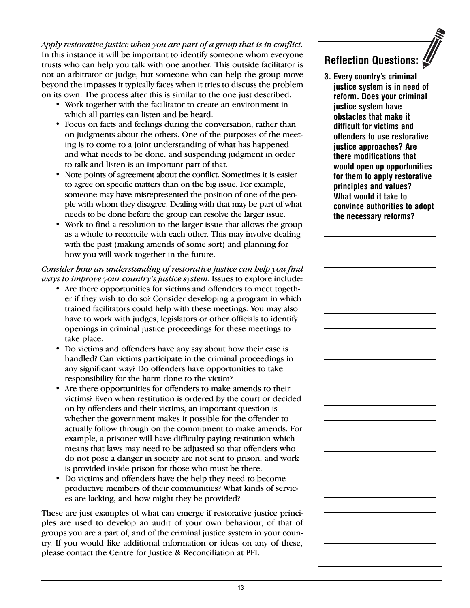*Apply restorative justice when you are part of a group that is in conflict.* In this instance it will be important to identify someone whom everyone trusts who can help you talk with one another. This outside facilitator is not an arbitrator or judge, but someone who can help the group move beyond the impasses it typically faces when it tries to discuss the problem on its own. The process after this is similar to the one just described.

- Work together with the facilitator to create an environment in which all parties can listen and be heard.
- Focus on facts and feelings during the conversation, rather than on judgments about the others. One of the purposes of the meeting is to come to a joint understanding of what has happened and what needs to be done, and suspending judgment in order to talk and listen is an important part of that.
- Note points of agreement about the conflict. Sometimes it is easier to agree on specific matters than on the big issue. For example, someone may have misrepresented the position of one of the people with whom they disagree. Dealing with that may be part of what needs to be done before the group can resolve the larger issue.
- Work to find a resolution to the larger issue that allows the group as a whole to reconcile with each other. This may involve dealing with the past (making amends of some sort) and planning for how you will work together in the future.

### *Consider how an understanding of restorative justice can help you find ways to improve your country's justice system.* Issues to explore include:

- Are there opportunities for victims and offenders to meet together if they wish to do so? Consider developing a program in which trained facilitators could help with these meetings. You may also have to work with judges, legislators or other officials to identify openings in criminal justice proceedings for these meetings to take place.
- Do victims and offenders have any say about how their case is handled? Can victims participate in the criminal proceedings in any significant way? Do offenders have opportunities to take responsibility for the harm done to the victim?
- Are there opportunities for offenders to make amends to their victims? Even when restitution is ordered by the court or decided on by offenders and their victims, an important question is whether the government makes it possible for the offender to actually follow through on the commitment to make amends. For example, a prisoner will have difficulty paying restitution which means that laws may need to be adjusted so that offenders who do not pose a danger in society are not sent to prison, and work is provided inside prison for those who must be there.
- Do victims and offenders have the help they need to become productive members of their communities? What kinds of services are lacking, and how might they be provided?

These are just examples of what can emerge if restorative justice principles are used to develop an audit of your own behaviour, of that of groups you are a part of, and of the criminal justice system in your country. If you would like additional information or ideas on any of these, please contact the Centre for Justice & Reconciliation at PFI.

### **Reflection Questions:**

**3. Every country's criminal justice system is in need of reform. Does your criminal justice system have obstacles that make it difficult for victims and offenders to use restorative justice approaches? Are there modifications that would open up opportunities for them to apply restorative principles and values? What would it take to convince authorities to adopt the necessary reforms?**